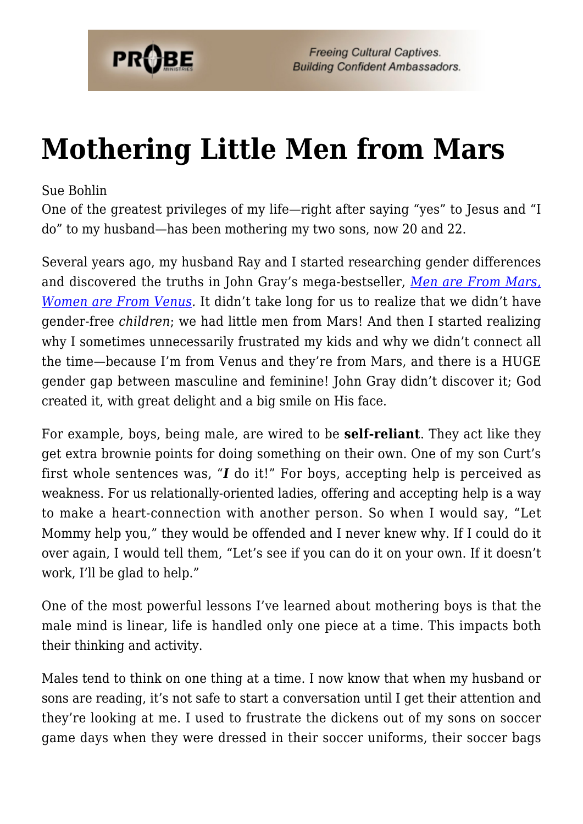

## **[Mothering Little Men from Mars](https://probe.org/mothering-little-men-from-mars/)**

## Sue Bohlin

One of the greatest privileges of my life—right after saying "yes" to Jesus and "I do" to my husband—has been mothering my two sons, now 20 and 22.

Several years ago, my husband Ray and I started researching gender differences and discovered the truths in John Gray's mega-bestseller, *[Men are From Mars,](https://www.probe.org/men-are-from-mars-women-are-from-venus/) [Women are From Venus](https://www.probe.org/men-are-from-mars-women-are-from-venus/).* It didn't take long for us to realize that we didn't have gender-free *children*; we had little men from Mars! And then I started realizing why I sometimes unnecessarily frustrated my kids and why we didn't connect all the time—because I'm from Venus and they're from Mars, and there is a HUGE gender gap between masculine and feminine! John Gray didn't discover it; God created it, with great delight and a big smile on His face.

For example, boys, being male, are wired to be **self-reliant**. They act like they get extra brownie points for doing something on their own. One of my son Curt's first whole sentences was, "*I* do it!" For boys, accepting help is perceived as weakness. For us relationally-oriented ladies, offering and accepting help is a way to make a heart-connection with another person. So when I would say, "Let Mommy help you," they would be offended and I never knew why. If I could do it over again, I would tell them, "Let's see if you can do it on your own. If it doesn't work, I'll be glad to help."

One of the most powerful lessons I've learned about mothering boys is that the male mind is linear, life is handled only one piece at a time. This impacts both their thinking and activity.

Males tend to think on one thing at a time. I now know that when my husband or sons are reading, it's not safe to start a conversation until I get their attention and they're looking at me. I used to frustrate the dickens out of my sons on soccer game days when they were dressed in their soccer uniforms, their soccer bags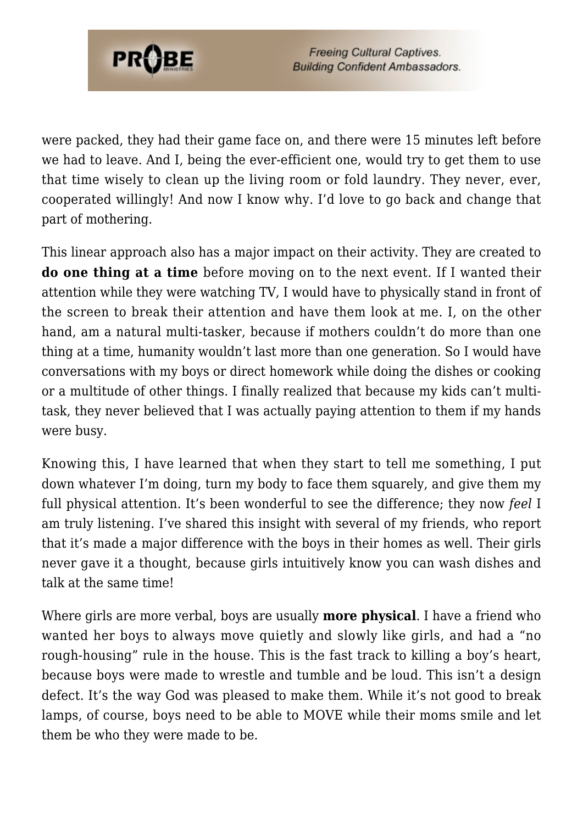

**Freeing Cultural Captives. Building Confident Ambassadors.** 

were packed, they had their game face on, and there were 15 minutes left before we had to leave. And I, being the ever-efficient one, would try to get them to use that time wisely to clean up the living room or fold laundry. They never, ever, cooperated willingly! And now I know why. I'd love to go back and change that part of mothering.

This linear approach also has a major impact on their activity. They are created to **do one thing at a time** before moving on to the next event. If I wanted their attention while they were watching TV, I would have to physically stand in front of the screen to break their attention and have them look at me. I, on the other hand, am a natural multi-tasker, because if mothers couldn't do more than one thing at a time, humanity wouldn't last more than one generation. So I would have conversations with my boys or direct homework while doing the dishes or cooking or a multitude of other things. I finally realized that because my kids can't multitask, they never believed that I was actually paying attention to them if my hands were busy.

Knowing this, I have learned that when they start to tell me something, I put down whatever I'm doing, turn my body to face them squarely, and give them my full physical attention. It's been wonderful to see the difference; they now *feel* I am truly listening. I've shared this insight with several of my friends, who report that it's made a major difference with the boys in their homes as well. Their girls never gave it a thought, because girls intuitively know you can wash dishes and talk at the same time!

Where girls are more verbal, boys are usually **more physical**. I have a friend who wanted her boys to always move quietly and slowly like girls, and had a "no rough-housing" rule in the house. This is the fast track to killing a boy's heart, because boys were made to wrestle and tumble and be loud. This isn't a design defect. It's the way God was pleased to make them. While it's not good to break lamps, of course, boys need to be able to MOVE while their moms smile and let them be who they were made to be.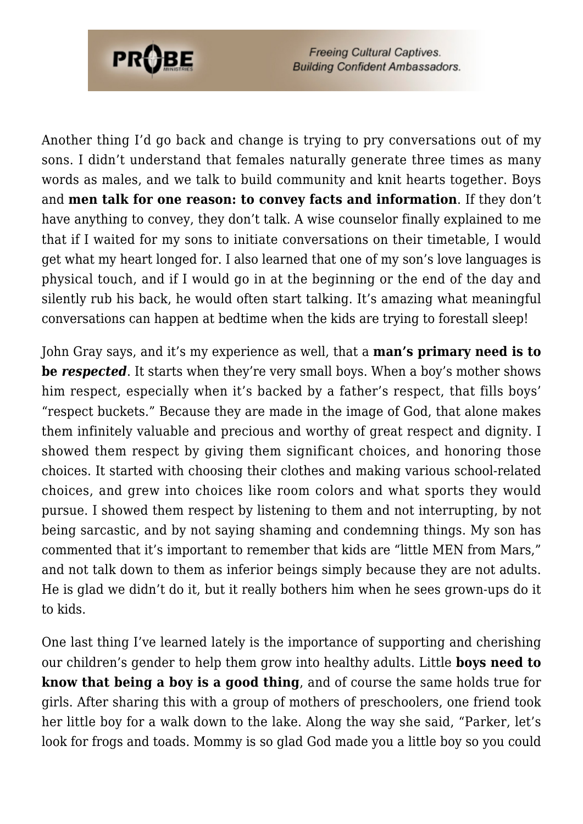

**Freeing Cultural Captives. Building Confident Ambassadors.** 

Another thing I'd go back and change is trying to pry conversations out of my sons. I didn't understand that females naturally generate three times as many words as males, and we talk to build community and knit hearts together. Boys and **men talk for one reason: to convey facts and information**. If they don't have anything to convey, they don't talk. A wise counselor finally explained to me that if I waited for my sons to initiate conversations on their timetable, I would get what my heart longed for. I also learned that one of my son's love languages is physical touch, and if I would go in at the beginning or the end of the day and silently rub his back, he would often start talking. It's amazing what meaningful conversations can happen at bedtime when the kids are trying to forestall sleep!

John Gray says, and it's my experience as well, that a **man's primary need is to be** *respected*. It starts when they're very small boys. When a boy's mother shows him respect, especially when it's backed by a father's respect, that fills boys' "respect buckets." Because they are made in the image of God, that alone makes them infinitely valuable and precious and worthy of great respect and dignity. I showed them respect by giving them significant choices, and honoring those choices. It started with choosing their clothes and making various school-related choices, and grew into choices like room colors and what sports they would pursue. I showed them respect by listening to them and not interrupting, by not being sarcastic, and by not saying shaming and condemning things. My son has commented that it's important to remember that kids are "little MEN from Mars," and not talk down to them as inferior beings simply because they are not adults. He is glad we didn't do it, but it really bothers him when he sees grown-ups do it to kids.

One last thing I've learned lately is the importance of supporting and cherishing our children's gender to help them grow into healthy adults. Little **boys need to know that being a boy is a good thing**, and of course the same holds true for girls. After sharing this with a group of mothers of preschoolers, one friend took her little boy for a walk down to the lake. Along the way she said, "Parker, let's look for frogs and toads. Mommy is so glad God made you a little boy so you could